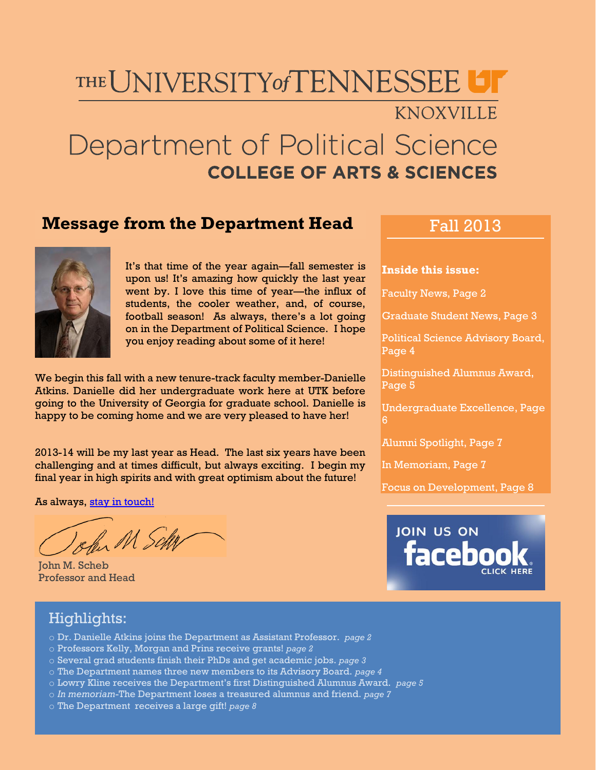# THE UNIVERSITY of TENNESSEE

### KNOXVILLE

# Department of Political Science **COLLEGE OF ARTS & SCIENCES**

### **Message from the Department Head**



It's that time of the year again—fall semester is upon us! It's amazing how quickly the last year went by. I love this time of year—the influx of students, the cooler weather, and, of course, football season! As always, there's a lot going on in the Department of Political Science. I hope you enjoy reading about some of it here!

We begin this fall with a new tenure-track faculty member-Danielle Atkins. Danielle did her undergraduate work here at UTK before going to the University of Georgia for graduate school. Danielle is happy to be coming home and we are very pleased to have her!

2013-14 will be my last year as Head. The last six years have been challenging and at times difficult, but always exciting. I begin my final year in high spirits and with great optimism about the future!

As always, [stay in touch!](mailto:scheb@utk.edu)

John M Schr

John M. Scheb Professor and Head

### Fall 2013

#### **Inside this issue:**

Faculty News, Page 2

Graduate Student News, Page 3

Political Science Advisory Board, Page 4

Distinguished Alumnus Award, Page 5

Undergraduate Excellence, Page

Alumni Spotlight, Page 7

In Memoriam, Page 7

Focus on Development, Page 8



#### Highlights:

- o Dr. Danielle Atkins joins the Department as Assistant Professor. *page 2*
- o Professors Kelly, Morgan and Prins receive grants! *page 2*
- o Several grad students finish their PhDs and get academic jobs. *page 3*
- o The Department names three new members to its Advisory Board. *page 4*
- o Lowry Kline receives the Department's first Distinguished Alumnus Award. *page 5*
- o *In memoriam*-The Department loses a treasured alumnus and friend. *page 7*
- o The Department receives a large gift! *page 8*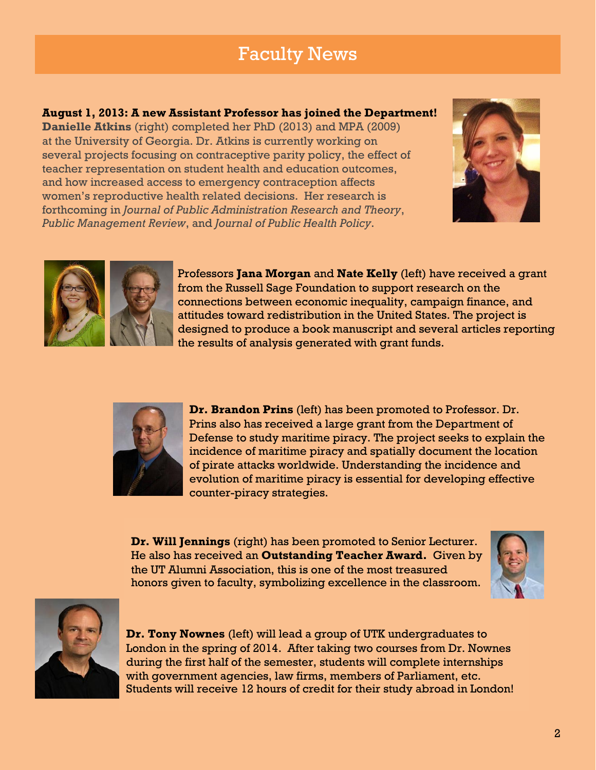# Faculty News

#### **August 1, 2013: A new Assistant Professor has joined the Department!**

**Danielle Atkins** (right) completed her PhD (2013) and MPA (2009) at the University of Georgia. Dr. Atkins is currently working on several projects focusing on contraceptive parity policy, the effect of teacher representation on student health and education outcomes, and how increased access to emergency contraception affects women's reproductive health related decisions. Her research is forthcoming in *Journal of Public Administration Research and Theory*, *Public Management Review*, and *Journal of Public Health Policy*.





Professors **Jana Morgan** and **Nate Kelly** (left) have received a grant from the Russell Sage Foundation to support research on the connections between economic inequality, campaign finance, and attitudes toward redistribution in the United States. The project is designed to produce a book manuscript and several articles reporting the results of analysis generated with grant funds.



**Dr. Brandon Prins** (left) has been promoted to Professor. Dr. Prins also has received a large grant from the Department of Defense to study maritime piracy. The project seeks to explain the incidence of maritime piracy and spatially document the location of pirate attacks worldwide. Understanding the incidence and evolution of maritime piracy is essential for developing effective counter-piracy strategies.

**Dr. Will Jennings** (right) has been promoted to Senior Lecturer. He also has received an **Outstanding Teacher Award.** Given by the UT Alumni Association, this is one of the most treasured honors given to faculty, symbolizing excellence in the classroom.





**Dr. Tony Nownes** (left) will lead a group of UTK undergraduates to London in the spring of 2014. After taking two courses from Dr. Nownes during the first half of the semester, students will complete internships with government agencies, law firms, members of Parliament, etc. Students will receive 12 hours of credit for their study abroad in London!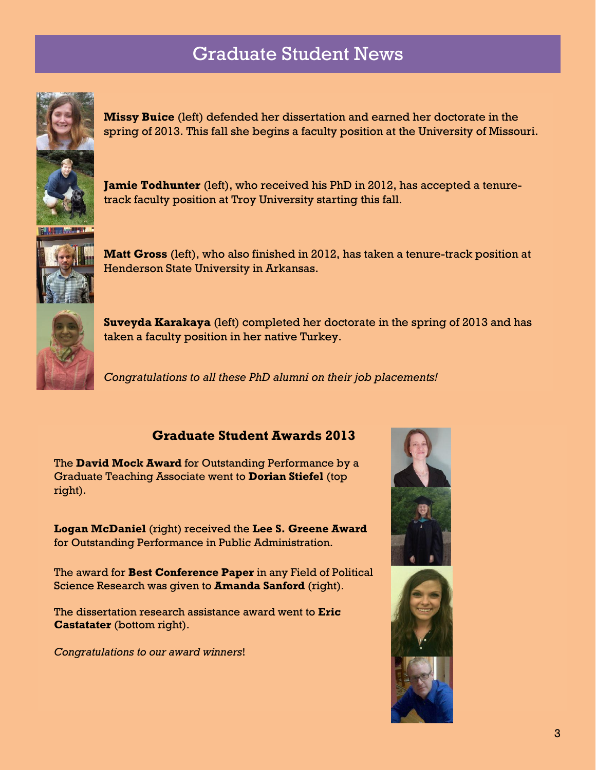# Graduate Student News



**Missy Buice** (left) defended her dissertation and earned her doctorate in the spring of 2013. This fall she begins a faculty position at the University of Missouri.

**Jamie Todhunter** (left), who received his PhD in 2012, has accepted a tenuretrack faculty position at Troy University starting this fall.



**Matt Gross** (left), who also finished in 2012, has taken a tenure-track position at Henderson State University in Arkansas.



**Suveyda Karakaya** (left) completed her doctorate in the spring of 2013 and has taken a faculty position in her native Turkey.

*Congratulations to all these PhD alumni on their job placements!*

#### **Graduate Student Awards 2013**

The **David Mock Award** for Outstanding Performance by a Graduate Teaching Associate went to **Dorian Stiefel** (top right).

**Logan McDaniel** (right) received the **Lee S. Greene Award** for Outstanding Performance in Public Administration.

The award for **Best Conference Paper** in any Field of Political Science Research was given to **Amanda Sanford** (right).

The dissertation research assistance award went to **Eric Castatater** (bottom right).

*Congratulations to our award winners*!



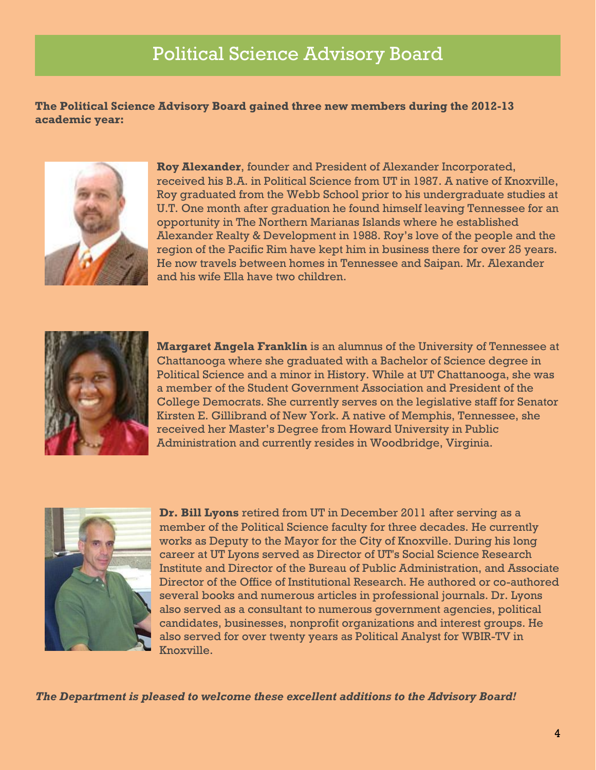# Political Science Advisory Board

**The Political Science Advisory Board gained three new members during the 2012-13 academic year:**



**Roy Alexander**, founder and President of Alexander Incorporated, received his B.A. in Political Science from UT in 1987. A native of Knoxville, Roy graduated from the Webb School prior to his undergraduate studies at U.T. One month after graduation he found himself leaving Tennessee for an opportunity in The Northern Marianas Islands where he established Alexander Realty & Development in 1988. Roy's love of the people and the region of the Pacific Rim have kept him in business there for over 25 years. He now travels between homes in Tennessee and Saipan. Mr. Alexander and his wife Ella have two children.



**Margaret Angela Franklin** is an alumnus of the University of Tennessee at Chattanooga where she graduated with a Bachelor of Science degree in Political Science and a minor in History. While at UT Chattanooga, she was a member of the Student Government Association and President of the College Democrats. She currently serves on the legislative staff for Senator Kirsten E. Gillibrand of New York. A native of Memphis, Tennessee, she received her Master's Degree from Howard University in Public Administration and currently resides in Woodbridge, Virginia.



**Dr. Bill Lyons** retired from UT in December 2011 after serving as a member of the Political Science faculty for three decades. He currently works as Deputy to the Mayor for the City of Knoxville. During his long career at UT Lyons served as Director of UT's Social Science Research Institute and Director of the Bureau of Public Administration, and Associate Director of the Office of Institutional Research. He authored or co-authored several books and numerous articles in professional journals. Dr. Lyons also served as a consultant to numerous government agencies, political candidates, businesses, nonprofit organizations and interest groups. He also served for over twenty years as Political Analyst for WBIR-TV in Knoxville.

*The Department is pleased to welcome these excellent additions to the Advisory Board!*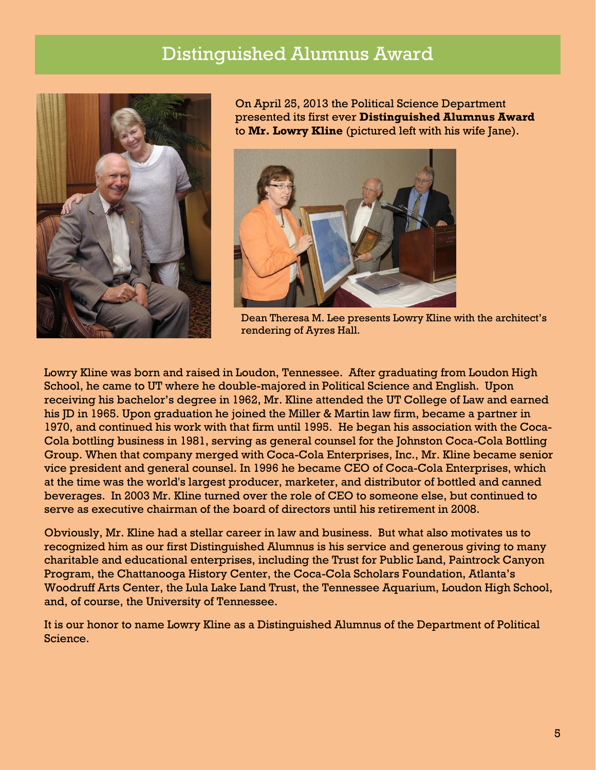### Distinguished Alumnus Award



On April 25, 2013 the Political Science Department presented its first ever **Distinguished Alumnus Award** to **Mr. Lowry Kline** (pictured left with his wife Jane).



Dean Theresa M. Lee presents Lowry Kline with the architect's rendering of Ayres Hall.

Lowry Kline was born and raised in Loudon, Tennessee. After graduating from Loudon High School, he came to UT where he double-majored in Political Science and English. Upon receiving his bachelor's degree in 1962, Mr. Kline attended the UT College of Law and earned his JD in 1965. Upon graduation he joined the Miller & Martin law firm, became a partner in 1970, and continued his work with that firm until 1995. He began his association with the Coca-Cola bottling business in 1981, serving as general counsel for the Johnston Coca-Cola Bottling Group. When that company merged with Coca-Cola Enterprises, Inc., Mr. Kline became senior vice president and general counsel. In 1996 he became CEO of Coca-Cola Enterprises, which at the time was the world's largest producer, marketer, and distributor of bottled and canned beverages. In 2003 Mr. Kline turned over the role of CEO to someone else, but continued to serve as executive chairman of the board of directors until his retirement in 2008.

Obviously, Mr. Kline had a stellar career in law and business. But what also motivates us to recognized him as our first Distinguished Alumnus is his service and generous giving to many charitable and educational enterprises, including the Trust for Public Land, Paintrock Canyon Program, the Chattanooga History Center, the Coca-Cola Scholars Foundation, Atlanta's Woodruff Arts Center, the Lula Lake Land Trust, the Tennessee Aquarium, Loudon High School, and, of course, the University of Tennessee.

It is our honor to name Lowry Kline as a Distinguished Alumnus of the Department of Political Science.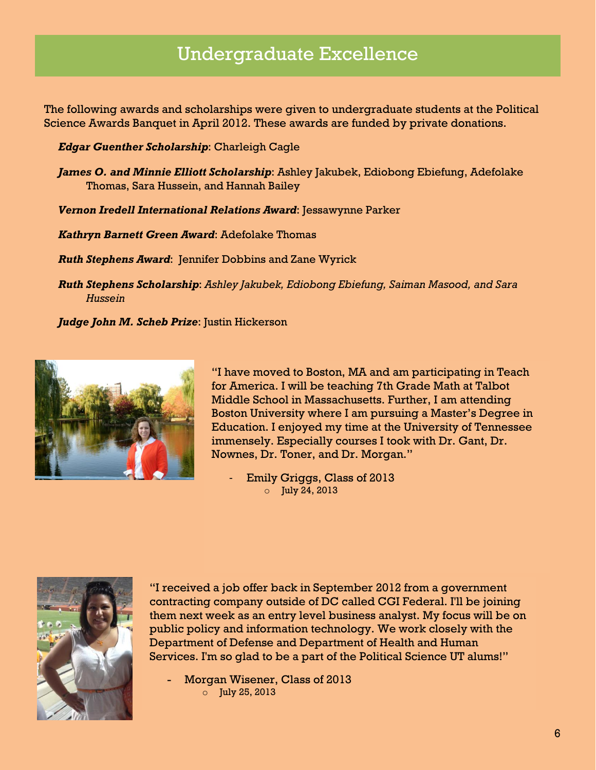## Undergraduate Excellence

The following awards and scholarships were given to undergraduate students at the Political Science Awards Banquet in April 2012. These awards are funded by private donations.

*Edgar Guenther Scholarship*: Charleigh Cagle

*James O. and Minnie Elliott Scholarship*: Ashley Jakubek, Ediobong Ebiefung, Adefolake Thomas, Sara Hussein, and Hannah Bailey

*Vernon Iredell International Relations Award*: Jessawynne Parker

*Kathryn Barnett Green Award*: Adefolake Thomas

*Ruth Stephens Award*: Jennifer Dobbins and Zane Wyrick

*Ruth Stephens Scholarship*: *Ashley Jakubek, Ediobong Ebiefung, Saiman Masood, and Sara Hussein*

*Judge John M. Scheb Prize*: Justin Hickerson



"I have moved to Boston, MA and am participating in Teach for America. I will be teaching 7th Grade Math at Talbot Middle School in Massachusetts. Further, I am attending Boston University where I am pursuing a Master's Degree in Education. I enjoyed my time at the University of Tennessee immensely. Especially courses I took with Dr. Gant, Dr. Nownes, Dr. Toner, and Dr. Morgan."

Emily Griggs, Class of 2013 o July 24, 2013



"I received a job offer back in September 2012 from a government contracting company outside of DC called CGI Federal. I'll be joining them next week as an entry level business analyst. My focus will be on public policy and information technology. We work closely with the Department of Defense and Department of Health and Human Services. I'm so glad to be a part of the Political Science UT alums!"

Morgan Wisener, Class of 2013 o July 25, 2013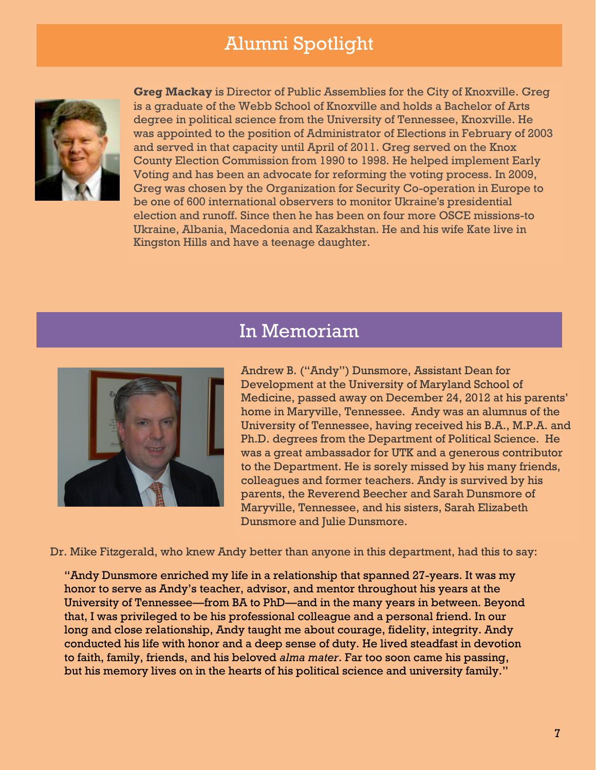# Alumni Spotlight



**Greg Mackay** is Director of Public Assemblies for the City of Knoxville. Greg is a graduate of the Webb School of Knoxville and holds a Bachelor of Arts degree in political science from the University of Tennessee, Knoxville. He was appointed to the position of Administrator of Elections in February of 2003 and served in that capacity until April of 2011. Greg served on the Knox County Election Commission from 1990 to 1998. He helped implement Early Voting and has been an advocate for reforming the voting process. In 2009, Greg was chosen by the Organization for Security Co-operation in Europe to be one of 600 international observers to monitor Ukraine's presidential election and runoff. Since then he has been on four more OSCE missions-to Ukraine, Albania, Macedonia and Kazakhstan. He and his wife Kate live in Kingston Hills and have a teenage daughter.

### In Memoriam



Andrew B. ("Andy") Dunsmore, Assistant Dean for Development at the University of Maryland School of Medicine, passed away on December 24, 2012 at his parents' home in Maryville, Tennessee. Andy was an alumnus of the University of Tennessee, having received his B.A., M.P.A. and Ph.D. degrees from the Department of Political Science. He was a great ambassador for UTK and a generous contributor to the Department. He is sorely missed by his many friends, colleagues and former teachers. Andy is survived by his parents, the Reverend Beecher and Sarah Dunsmore of Maryville, Tennessee, and his sisters, Sarah Elizabeth Dunsmore and Julie Dunsmore.

Dr. Mike Fitzgerald, who knew Andy better than anyone in this department, had this to say:

"Andy Dunsmore enriched my life in a relationship that spanned 27-years. It was my honor to serve as Andy's teacher, advisor, and mentor throughout his years at the University of Tennessee—from BA to PhD—and in the many years in between. Beyond that, I was privileged to be his professional colleague and a personal friend. In our long and close relationship, Andy taught me about courage, fidelity, integrity. Andy conducted his life with honor and a deep sense of duty. He lived steadfast in devotion to faith, family, friends, and his beloved *alma mater*. Far too soon came his passing, but his memory lives on in the hearts of his political science and university family."